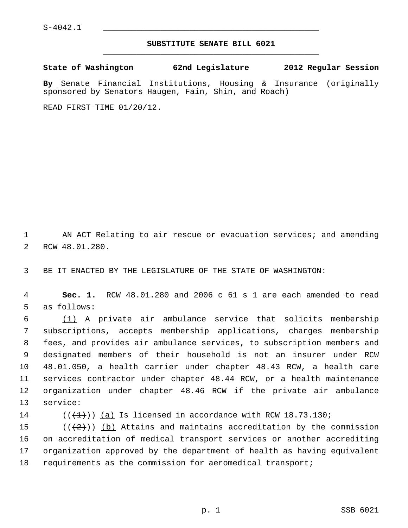## **SUBSTITUTE SENATE BILL 6021** \_\_\_\_\_\_\_\_\_\_\_\_\_\_\_\_\_\_\_\_\_\_\_\_\_\_\_\_\_\_\_\_\_\_\_\_\_\_\_\_\_\_\_\_\_

**State of Washington 62nd Legislature 2012 Regular Session**

**By** Senate Financial Institutions, Housing & Insurance (originally sponsored by Senators Haugen, Fain, Shin, and Roach)

READ FIRST TIME 01/20/12.

 1 AN ACT Relating to air rescue or evacuation services; and amending 2 RCW 48.01.280.

3 BE IT ENACTED BY THE LEGISLATURE OF THE STATE OF WASHINGTON:

 4 **Sec. 1.** RCW 48.01.280 and 2006 c 61 s 1 are each amended to read 5 as follows:

 6 (1) A private air ambulance service that solicits membership 7 subscriptions, accepts membership applications, charges membership 8 fees, and provides air ambulance services, to subscription members and 9 designated members of their household is not an insurer under RCW 10 48.01.050, a health carrier under chapter 48.43 RCW, a health care 11 services contractor under chapter 48.44 RCW, or a health maintenance 12 organization under chapter 48.46 RCW if the private air ambulance 13 service:

14  $((\{1\})$  (a) Is licensed in accordance with RCW 18.73.130;

15  $((+2))$  (b) Attains and maintains accreditation by the commission 16 on accreditation of medical transport services or another accrediting 17 organization approved by the department of health as having equivalent 18 requirements as the commission for aeromedical transport;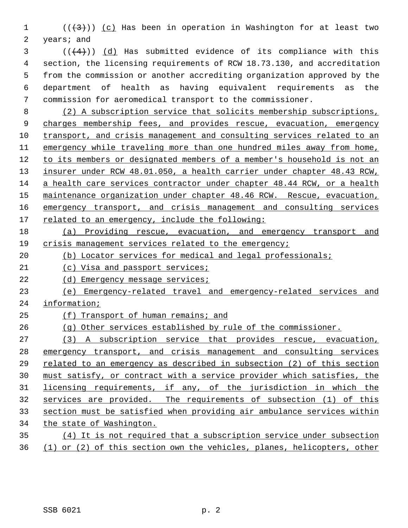1  $((+3))$   $(c)$  Has been in operation in Washington for at least two 2 years; and

 $(1 + 4)$ ) (d) Has submitted evidence of its compliance with this 4 section, the licensing requirements of RCW 18.73.130, and accreditation 5 from the commission or another accrediting organization approved by the 6 department of health as having equivalent requirements as the 7 commission for aeromedical transport to the commissioner.

8 (2) A subscription service that solicits membership subscriptions, charges membership fees, and provides rescue, evacuation, emergency transport, and crisis management and consulting services related to an emergency while traveling more than one hundred miles away from home, to its members or designated members of a member's household is not an insurer under RCW 48.01.050, a health carrier under chapter 48.43 RCW, a health care services contractor under chapter 48.44 RCW, or a health maintenance organization under chapter 48.46 RCW. Rescue, evacuation, emergency transport, and crisis management and consulting services related to an emergency, include the following:

- (a) Providing rescue, evacuation, and emergency transport and crisis management services related to the emergency;
- (b) Locator services for medical and legal professionals;
- 21 (c) Visa and passport services;
- 22 (d) Emergency message services;
- (e) Emergency-related travel and emergency-related services and information;
- (f) Transport of human remains; and
- (g) Other services established by rule of the commissioner.
- (3) A subscription service that provides rescue, evacuation, emergency transport, and crisis management and consulting services related to an emergency as described in subsection (2) of this section must satisfy, or contract with a service provider which satisfies, the licensing requirements, if any, of the jurisdiction in which the services are provided. The requirements of subsection (1) of this section must be satisfied when providing air ambulance services within the state of Washington. (4) It is not required that a subscription service under subsection
- (1) or (2) of this section own the vehicles, planes, helicopters, other